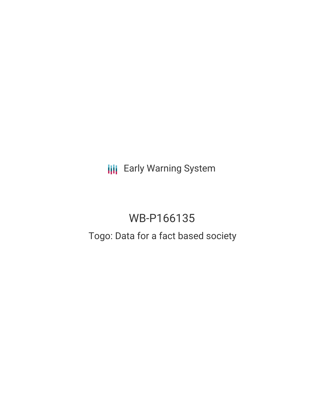**III** Early Warning System

# WB-P166135

## Togo: Data for a fact based society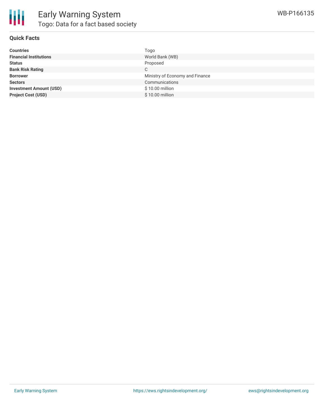

#### **Quick Facts**

| <b>Countries</b>               | Togo                            |
|--------------------------------|---------------------------------|
| <b>Financial Institutions</b>  | World Bank (WB)                 |
| <b>Status</b>                  | Proposed                        |
| <b>Bank Risk Rating</b>        | C                               |
| <b>Borrower</b>                | Ministry of Economy and Finance |
| <b>Sectors</b>                 | Communications                  |
| <b>Investment Amount (USD)</b> | \$10.00 million                 |
| <b>Project Cost (USD)</b>      | $$10.00$ million                |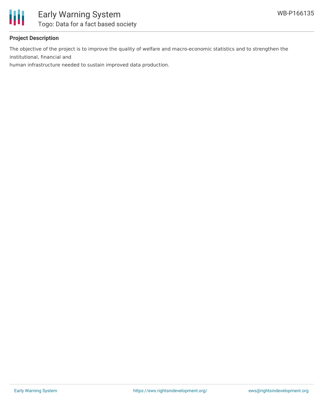

### **Project Description**

The objective of the project is to improve the quality of welfare and macro-economic statistics and to strengthen the institutional, financial and

human infrastructure needed to sustain improved data production.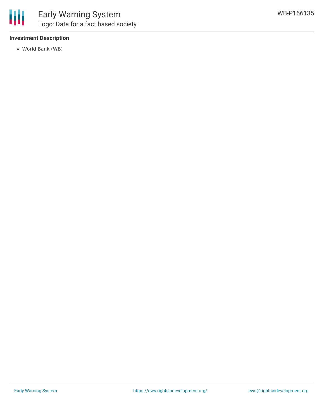

#### **Investment Description**

World Bank (WB)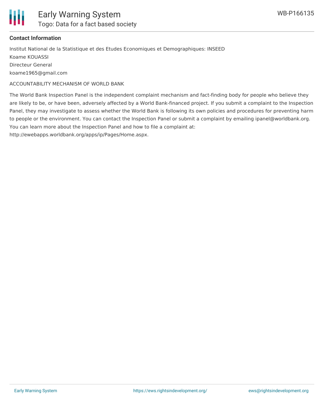

#### **Contact Information**

Institut National de la Statistique et des Etudes Economiques et Demographiques: INSEED Koame KOUASSI Directeur General koame1965@gmail.com

ACCOUNTABILITY MECHANISM OF WORLD BANK

The World Bank Inspection Panel is the independent complaint mechanism and fact-finding body for people who believe they are likely to be, or have been, adversely affected by a World Bank-financed project. If you submit a complaint to the Inspection Panel, they may investigate to assess whether the World Bank is following its own policies and procedures for preventing harm to people or the environment. You can contact the Inspection Panel or submit a complaint by emailing ipanel@worldbank.org. You can learn more about the Inspection Panel and how to file a complaint at: http://ewebapps.worldbank.org/apps/ip/Pages/Home.aspx.